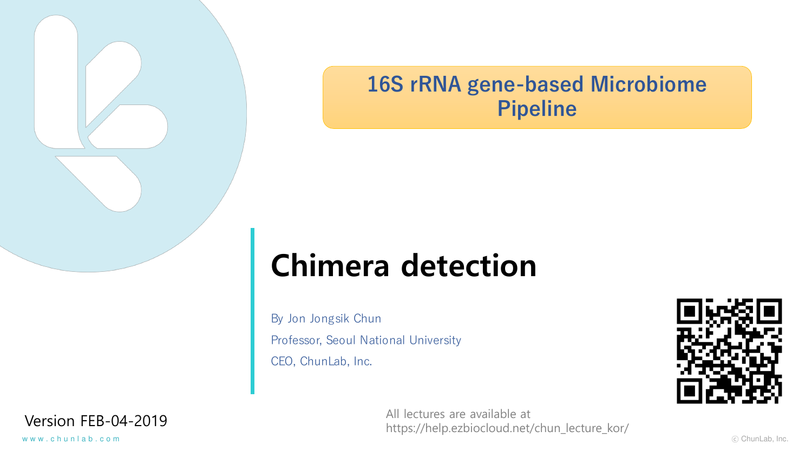

# **16S rRNA gene-based Microbiome Pipeline**

# **Chimera detection**

By Jon Jongsik Chun Professor, Seoul National University CEO, ChunLab, Inc.



Version FEB-04-2019 All lectures are available at https://help.ezbiocloud.net/chun\_lecture\_kor/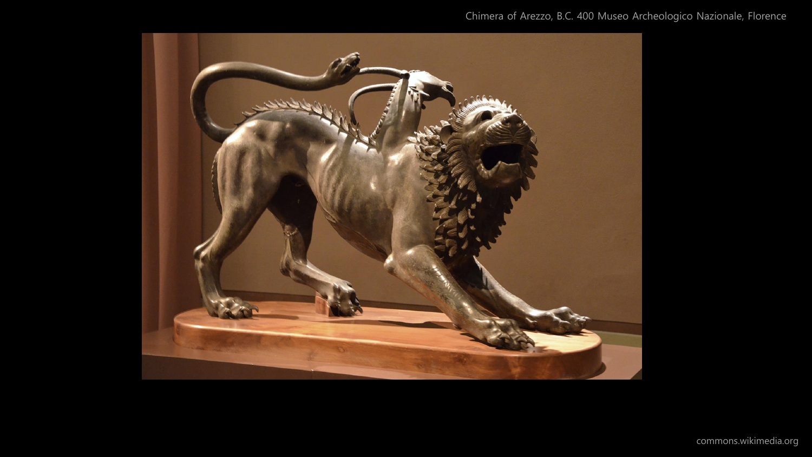#### Chimera of Arezzo, B.C. 400 Museo Archeologico Nazionale, Florence

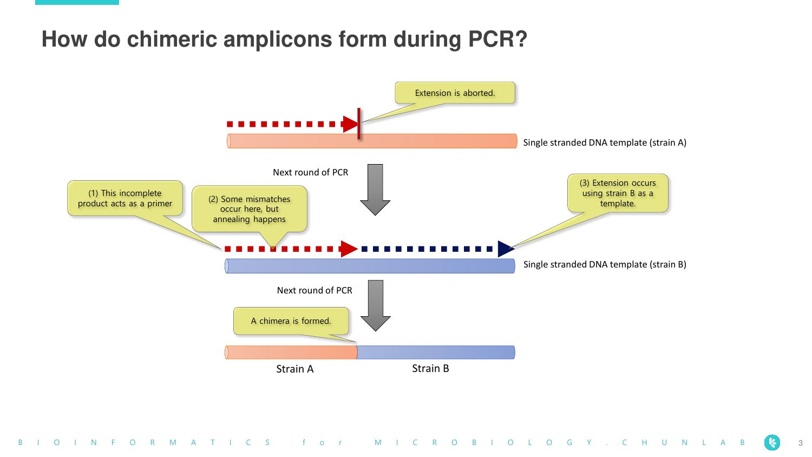### **How do chimeric amplicons form during PCR?**

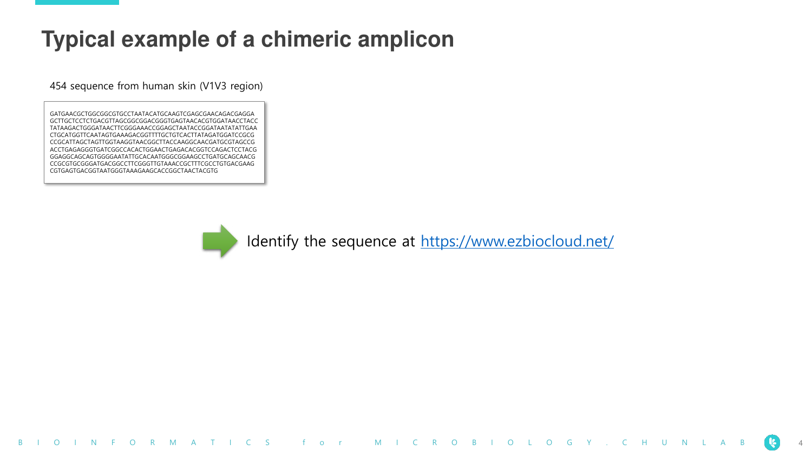# **Typical example of a chimeric amplicon**

454 sequence from human skin (V1V3 region)

GATGAACGCTGGCGGCGTGCCTAATACATGCAAGTCGAGCGAACAGACGAGGA GCTTGCTCCTCTGACGTTAGCGGCGGACGGGTGAGTAACACGTGGATAACCTACC TATAAGACTGGGATAACTTCGGGAAACCGGAGCTAATACCGGATAATATATTGAA CTGCATGGTTCAATAGTGAAAGACGGTTTTGCTGTCACTTATAGATGGATCCGCG CCGCATTAGCTAGTTGGTAAGGTAACGGCTTACCAAGGCAACGATGCGTAGCCG ACCTGAGAGGGTGATCGGCCACACTGGAACTGAGACACGGTCCAGACTCCTACG GGAGGCAGCAGTGGGGAATATTGCACAATGGGCGGAAGCCTGATGCAGCAACG CCGCGTGCGGGATGACGGCCTTCGGGTTGTAAACCGCTTTCGCCTGTGACGAAG CGTGAGTGACGGTAATGGGTAAAGAAGCACCGGCTAACTACGTG



Identify the sequence at<https://www.ezbiocloud.net/>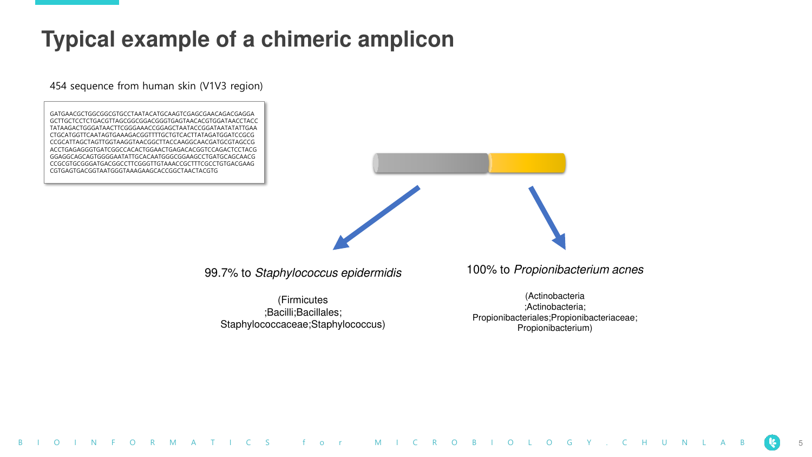#### **Typical example of a chimeric amplicon**

454 sequence from human skin (V1V3 region)

GATGAACGCTGGCGGCGTGCCTAATACATGCAAGTCGAGCGAACAGACGAGGA GCTTGCTCCTCTGACGTTAGCGGCGGACGGGTGAGTAACACGTGGATAACCTACC TATAAGACTGGGATAACTTCGGGAAACCGGAGCTAATACCGGATAATATATTGAA CTGCATGGTTCAATAGTGAAAGACGGTTTTGCTGTCACTTATAGATGGATCCGCG CCGCATTAGCTAGTTGGTAAGGTAACGGCTTACCAAGGCAACGATGCGTAGCCG ACCTGAGAGGGTGATCGGCCACACTGGAACTGAGACACGGTCCAGACTCCTACG GGAGGCAGCAGTGGGGAATATTGCACAATGGGCGGAAGCCTGATGCAGCAACG CCGCGTGCGGGATGACGGCCTTCGGGTTGTAAACCGCTTTCGCCTGTGACGAAG CGTGAGTGACGGTAATGGGTAAAGAAGCACCGGCTAACTACGTG

99.7% to Staphylococcus epidermidis

(Firmicutes ;Bacilli;Bacillales; Staphylococcaceae;Staphylococcus) 100% to Propionibacterium acnes

(Actinobacteria ;Actinobacteria; Propionibacteriales;Propionibacteriaceae; Propionibacterium)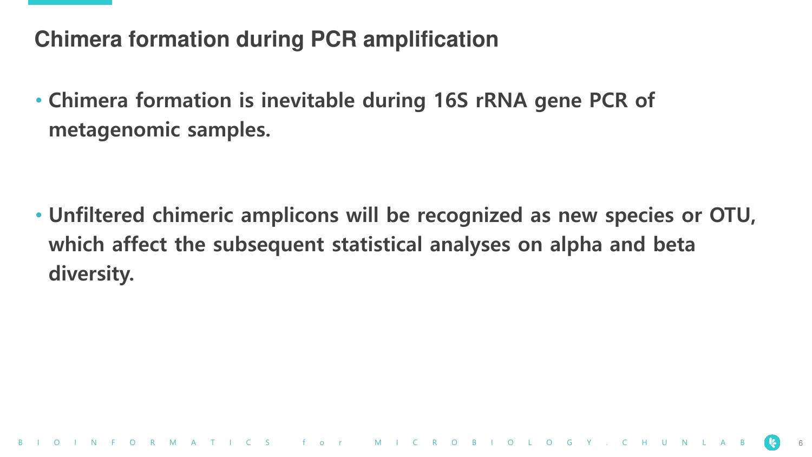# **Chimera formation during PCR amplification**

• **Chimera formation is inevitable during 16S rRNA gene PCR of metagenomic samples.**

• **Unfiltered chimeric amplicons will be recognized as new species or OTU, which affect the subsequent statistical analyses on alpha and beta diversity.**

B I O R M A T I C S f o r M I C R O B I O L O G Y . C H U N L A B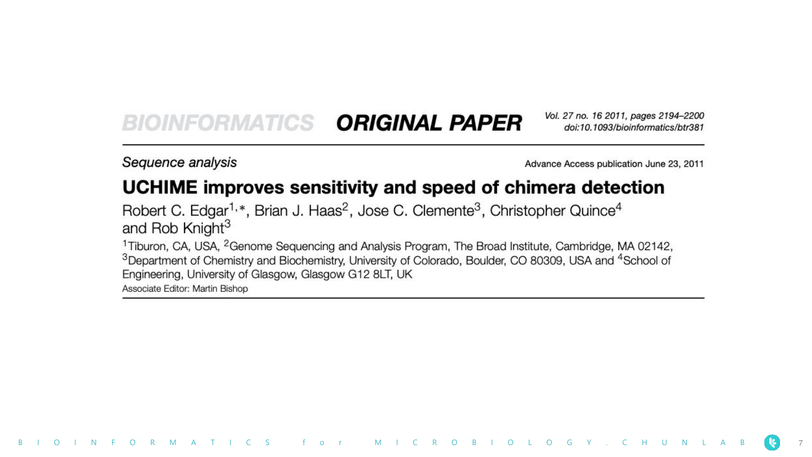#### **ORIGINAL PAPER BIOINEORMATICS**

Vol. 27 no. 16 2011, pages 2194-2200 doi:10.1093/bioinformatics/btr381

Sequence analysis

Advance Access publication June 23, 2011

#### UCHIME improves sensitivity and speed of chimera detection

Robert C. Edgar<sup>1,\*</sup>, Brian J. Haas<sup>2</sup>, Jose C. Clemente<sup>3</sup>, Christopher Quince<sup>4</sup> and Rob Knight<sup>3</sup>

B I O I N F O R M A T I C S f o r M I C R O B I O L O G Y . C H U N

<sup>1</sup>Tiburon, CA, USA, <sup>2</sup>Genome Sequencing and Analysis Program, The Broad Institute, Cambridge, MA 02142, <sup>3</sup>Department of Chemistry and Biochemistry, University of Colorado, Boulder, CO 80309, USA and <sup>4</sup>School of Engineering, University of Glasgow, Glasgow G12 8LT, UK Associate Editor: Martin Bishop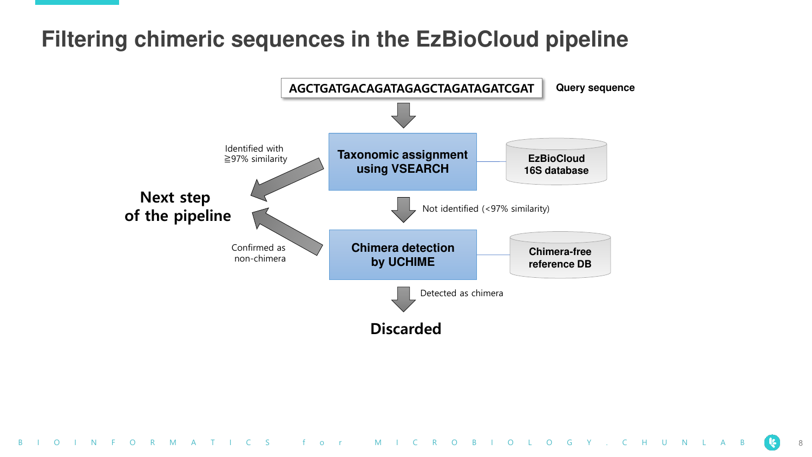# **Filtering chimeric sequences in the EzBioCloud pipeline**

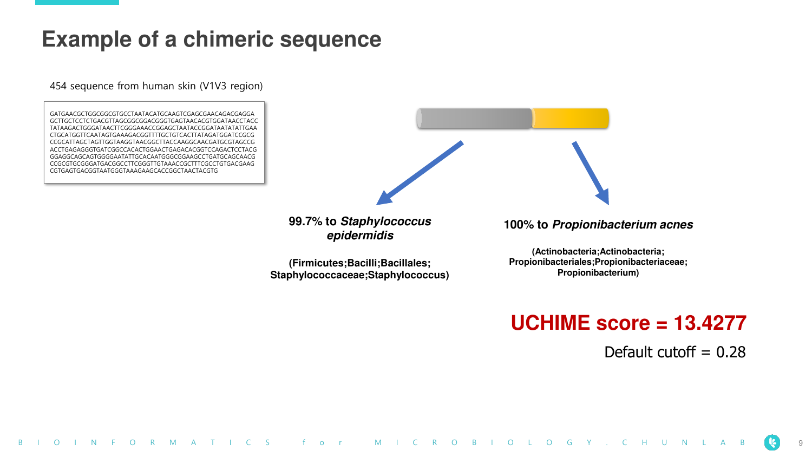#### **Example of a chimeric sequence**

454 sequence from human skin (V1V3 region)

GATGAACGCTGGCGGCGTGCCTAATACATGCAAGTCGAGCGAACAGACGAGGA GCTTGCTCCTCTGACGTTAGCGGCGGACGGGTGAGTAACACGTGGATAACCTACC TATAAGACTGGGATAACTTCGGGAAACCGGAGCTAATACCGGATAATATATTGAA CTGCATGGTTCAATAGTGAAAGACGGTTTTGCTGTCACTTATAGATGGATCCGCG CCGCATTAGCTAGTTGGTAAGGTAACGGCTTACCAAGGCAACGATGCGTAGCCG ACCTGAGAGGGTGATCGGCCACACTGGAACTGAGACACGGTCCAGACTCCTACG GGAGGCAGCAGTGGGGAATATTGCACAATGGGCGGAAGCCTGATGCAGCAACG CCGCGTGCGGGATGACGGCCTTCGGGTTGTAAACCGCTTTCGCCTGTGACGAAG CGTGAGTGACGGTAATGGGTAAAGAAGCACCGGCTAACTACGTG



**99.7% to Staphylococcus epidermidis**

**(Firmicutes;Bacilli;Bacillales; Staphylococcaceae;Staphylococcus)** **100% to Propionibacterium acnes**

**(Actinobacteria;Actinobacteria; Propionibacteriales;Propionibacteriaceae; Propionibacterium)**

#### **UCHIME score = 13.4277**

Default cutoff  $= 0.28$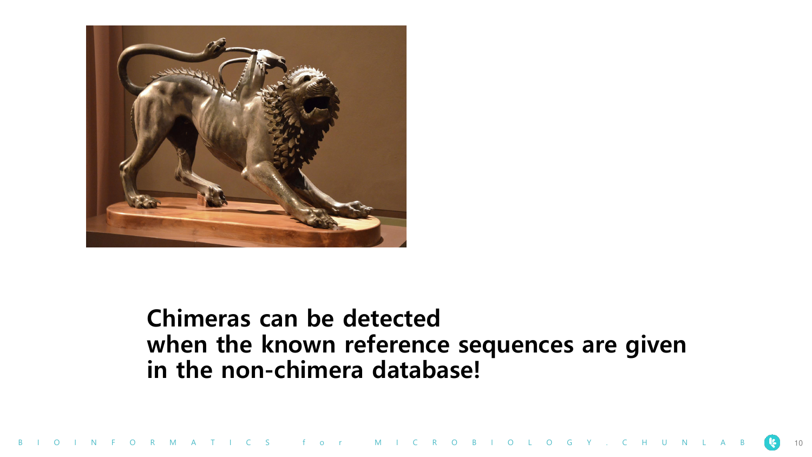

# **Chimeras can be detected when the known reference sequences are given in the non-chimera database!**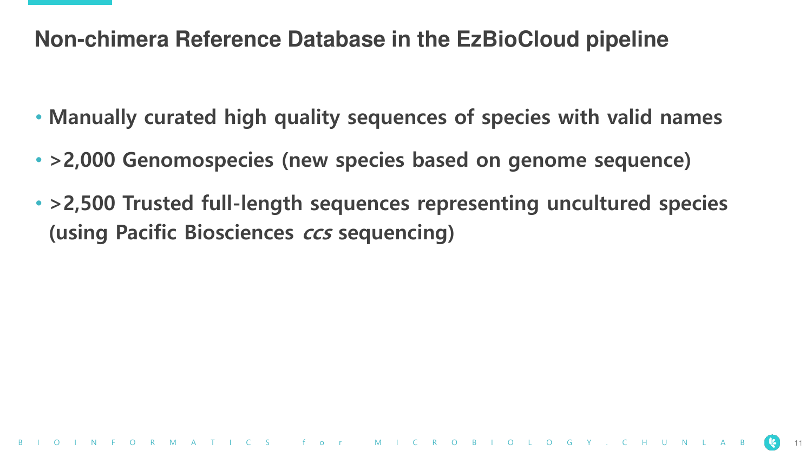### **Non-chimera Reference Database in the EzBioCloud pipeline**

- **Manually curated high quality sequences of species with valid names**
- **>2,000 Genomospecies (new species based on genome sequence)**
- **>2,500 Trusted full-length sequences representing uncultured species (using Pacific Biosciences ccs sequencing)**

B I O R M A T I C S f o r M I C R O B I O L O G Y . C H U N L A B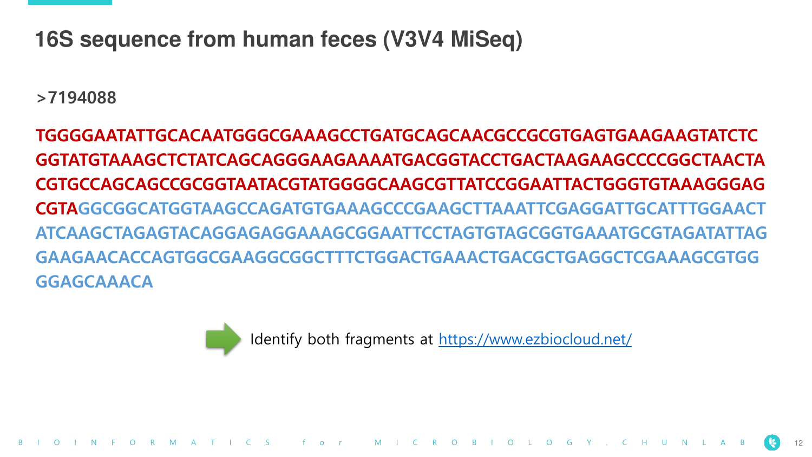### **16S sequence from human feces (V3V4 MiSeq)**

**>7194088**

**TGGGGAATATTGCACAATGGGCGAAAGCCTGATGCAGCAACGCCGCGTGAGTGAAGAAGTATCTC GGTATGTAAAGCTCTATCAGCAGGGAAGAAAATGACGGTACCTGACTAAGAAGCCCCGGCTAACTA CGTGCCAGCAGCCGCGGTAATACGTATGGGGCAAGCGTTATCCGGAATTACTGGGTGTAAAGGGAG CGTAGGCGGCATGGTAAGCCAGATGTGAAAGCCCGAAGCTTAAATTCGAGGATTGCATTTGGAACT ATCAAGCTAGAGTACAGGAGAGGAAAGCGGAATTCCTAGTGTAGCGGTGAAATGCGTAGATATTAG GAAGAACACCAGTGGCGAAGGCGGCTTTCTGGACTGAAACTGACGCTGAGGCTCGAAAGCGTGG GGAGCAAACA**



Identify both fragments at <https://www.ezbiocloud.net/>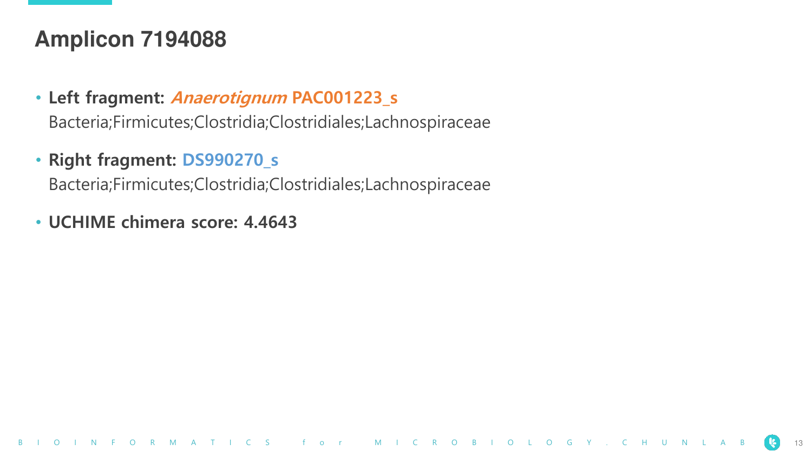#### **Amplicon 7194088**

• **Left fragment: Anaerotignum PAC001223\_s**

Bacteria;Firmicutes;Clostridia;Clostridiales;Lachnospiraceae

#### • **Right fragment: DS990270\_s**

Bacteria;Firmicutes;Clostridia;Clostridiales;Lachnospiraceae

#### • **UCHIME chimera score: 4.4643**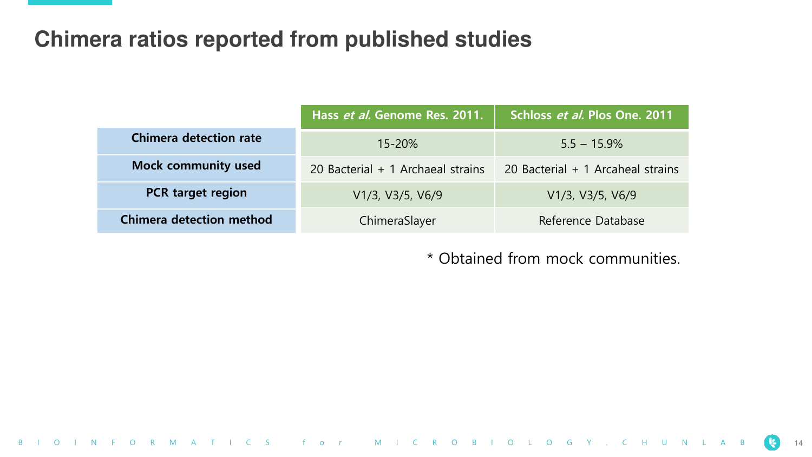#### **Chimera ratios reported from published studies**

|                                 | Hass et al. Genome Res. 2011.     | Schloss et al. Plos One. 2011     |
|---------------------------------|-----------------------------------|-----------------------------------|
| Chimera detection rate          | $15 - 20%$                        | $5.5 - 15.9\%$                    |
| <b>Mock community used</b>      | 20 Bacterial + 1 Archaeal strains | 20 Bacterial + 1 Arcaheal strains |
| <b>PCR</b> target region        | V1/3, V3/5, V6/9                  | V1/3, V3/5, V6/9                  |
| <b>Chimera detection method</b> | ChimeraSlayer                     | Reference Database                |

\* Obtained from mock communities.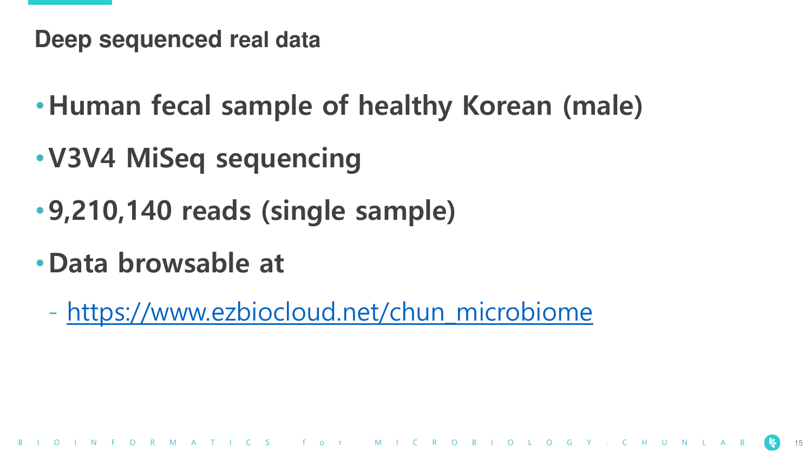**Deep sequenced real data**

- •**Human fecal sample of healthy Korean (male)**
- •**V3V4 MiSeq sequencing**
- •**9,210,140 reads (single sample)**
- •**Data browsable at**
	- [https://www.ezbiocloud.net/chun\\_microbiome](https://www.ezbiocloud.net/chun_microbiome)

S for MICROBIOLOGY.CHUNLAB